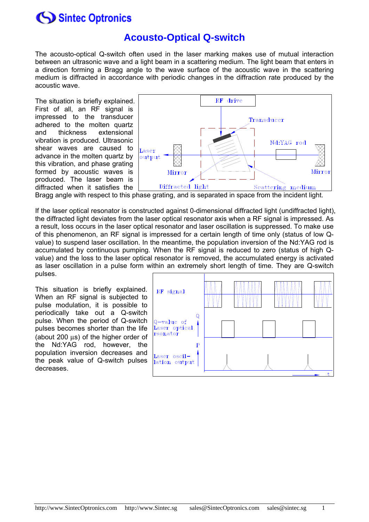### **Acousto-Optical Q-switch**

The acousto-optical Q-switch often used in the laser marking makes use of mutual interaction between an ultrasonic wave and a light beam in a scattering medium. The light beam that enters in a direction forming a Bragg angle to the wave surface of the acoustic wave in the scattering medium is diffracted in accordance with periodic changes in the diffraction rate produced by the acoustic wave.

The situation is briefly explained. First of all, an RF signal is impressed to the transducer adhered to the molten quartz and thickness extensional vibration is produced. Ultrasonic shear waves are caused to advance in the molten quartz by this vibration, and phase grating formed by acoustic waves is produced. The laser beam is diffracted when it satisfies the



Bragg angle with respect to this phase grating, and is separated in space from the incident light.

If the laser optical resonator is constructed against 0-dimensional diffracted light (undiffracted light), the diffracted light deviates from the laser optical resonator axis when a RF signal is impressed. As a result, loss occurs in the laser optical resonator and laser oscillation is suppressed. To make use of this phenomenon, an RF signal is impressed for a certain length of time only (status of low Qvalue) to suspend laser oscillation. In the meantime, the population inversion of the Nd:YAG rod is accumulated by continuous pumping. When the RF signal is reduced to zero (status of high Qvalue) and the loss to the laser optical resonator is removed, the accumulated energy is activated as laser oscillation in a pulse form within an extremely short length of time. They are Q-switch pulses.

This situation is briefly explained. When an RF signal is subjected to pulse modulation, it is possible to periodically take out a Q-switch pulse. When the period of Q-switch pulses becomes shorter than the life (about 200 μs) of the higher order of the Nd:YAG rod, however, the population inversion decreases and the peak value of Q-switch pulses decreases.

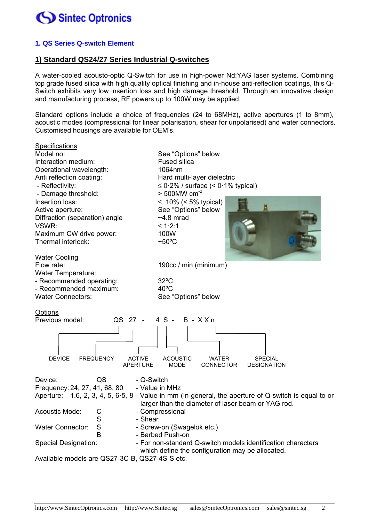

#### **1. QS Series Q-switch Element**

#### **1) Standard QS24/27 Series Industrial Q-switches**

A water-cooled acousto-optic Q-Switch for use in high-power Nd:YAG laser systems. Combining top grade fused silica with high quality optical finishing and in-house anti-reflection coatings, this Q-Switch exhibits very low insertion loss and high damage threshold. Through an innovative design and manufacturing process, RF powers up to 100W may be applied.

Standard options include a choice of frequencies (24 to 68MHz), active apertures (1 to 8mm), acoustic modes (compressional for linear polarisation, shear for unpolarised) and water connectors. Customised housings are available for OEM's.

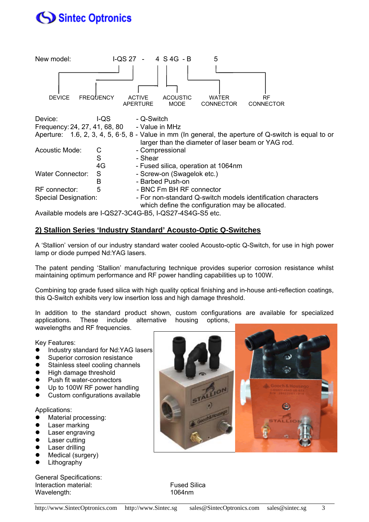

Available models are I-QS27-3C4G-B5, I-QS27-4S4G-S5 etc.

### **2) Stallion Series 'Industry Standard' Acousto-Optic Q-Switches**

A 'Stallion' version of our industry standard water cooled Acousto-optic Q-Switch, for use in high power lamp or diode pumped Nd:YAG lasers.

The patent pending 'Stallion' manufacturing technique provides superior corrosion resistance whilst maintaining optimum performance and RF power handling capabilities up to 100W.

Combining top grade fused silica with high quality optical finishing and in-house anti-reflection coatings, this Q-Switch exhibits very low insertion loss and high damage threshold.

In addition to the standard product shown, custom configurations are available for specialized applications. These include alternative housing options, wavelengths and RF frequencies.

Key Features:

- Industry standard for Nd:YAG lasers
- Superior corrosion resistance
- Stainless steel cooling channels
- High damage threshold
- Push fit water-connectors
- Up to 100W RF power handling
- Custom configurations available

#### Applications:

- Material processing:
- **•** Laser marking
- **•** Laser engraving
- Laser cutting
- Laser drilling
- Medical (surgery)
- Lithography

General Specifications: Interaction material: Fused Silica Wavelength: 1064nm

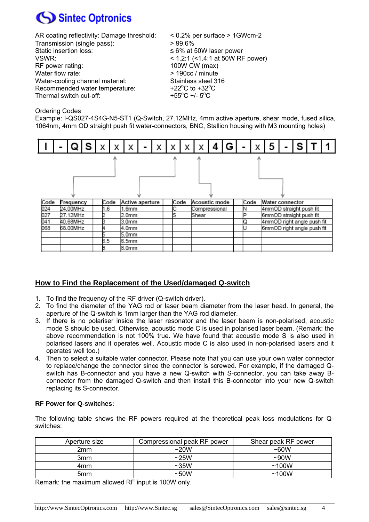

| AR coating reflectivity: Damage threshold: | $< 0.2\%$ per surface $> 1$ GWcm-2                   |
|--------------------------------------------|------------------------------------------------------|
| Transmission (single pass):                | >99.6%                                               |
| Static insertion loss:                     | $\leq 6\%$ at 50W laser power                        |
| VSWR:                                      | $<$ 1.2:1 (<1.4:1 at 50W RF power)                   |
| RF power rating:                           | 100W CW (max)                                        |
| Water flow rate:                           | > 190cc / minute                                     |
| Water-cooling channel material:            | Stainless steel 316                                  |
| Recommended water temperature:             | +22 $\mathrm{^{\circ}C}$ to +32 $\mathrm{^{\circ}C}$ |
| Thermal switch cut-off:                    | +55 $^{\circ}$ C +/- 5 $^{\circ}$ C                  |
|                                            |                                                      |

#### Ordering Codes

Example: I-QS027-4S4G-N5-ST1 (Q-Switch, 27.12MHz, 4mm active aperture, shear mode, fused silica, 1064nm, 4mm OD straight push fit water-connectors, BNC, Stallion housing with M3 mounting holes)



#### **How to Find the Replacement of the Used/damaged Q-switch**

- 1. To find the frequency of the RF driver (Q-switch driver).
- 2. To find the diameter of the YAG rod or laser beam diameter from the laser head. In general, the aperture of the Q-switch is 1mm larger than the YAG rod diameter.
- 3. If there is no polariser inside the laser resonator and the laser beam is non-polarised, acoustic mode S should be used. Otherwise, acoustic mode C is used in polarised laser beam. (Remark: the above recommendation is not 100% true. We have found that acoustic mode S is also used in polarised lasers and it operates well. Acoustic mode C is also used in non-polarised lasers and it operates well too.)
- 4. Then to select a suitable water connector. Please note that you can use your own water connector to replace/change the connector since the connector is screwed. For example, if the damaged Qswitch has B-connector and you have a new Q-switch with S-connector, you can take away Bconnector from the damaged Q-switch and then install this B-connector into your new Q-switch replacing its S-connector.

#### **RF Power for Q-switches:**

The following table shows the RF powers required at the theoretical peak loss modulations for Qswitches:

| Aperture size | Compressional peak RF power | Shear peak RF power |
|---------------|-----------------------------|---------------------|
| 2mm           | $\sim$ 20W                  | $~\sim$ 60W         |
| 3mm           | ~25W                        | $\sim 90W$          |
| 4mm           | $\sim$ 35W                  | ~100W               |
| 5mm           | ~50W                        | ~100W               |

Remark: the maximum allowed RF input is 100W only.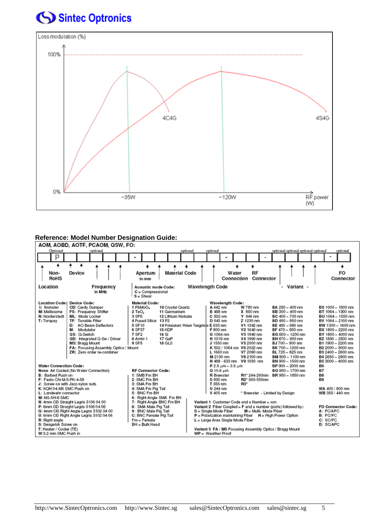

#### **Reference: Model Number Designation Guide:**

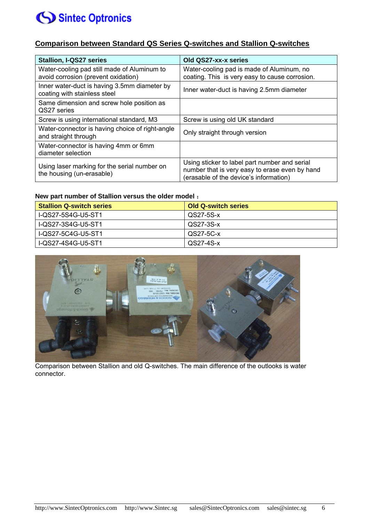### **Comparison between Standard QS Series Q-switches and Stallion Q-switches**

| <b>Stallion, I-QS27 series</b>                                                     | Old QS27-xx-x series                                                                                                                      |
|------------------------------------------------------------------------------------|-------------------------------------------------------------------------------------------------------------------------------------------|
| Water-cooling pad still made of Aluminum to<br>avoid corrosion (prevent oxidation) | Water-cooling pad is made of Aluminum, no<br>coating. This is very easy to cause corrosion.                                               |
| Inner water-duct is having 3.5mm diameter by<br>coating with stainless steel       | Inner water-duct is having 2.5mm diameter                                                                                                 |
| Same dimension and screw hole position as<br>QS27 series                           |                                                                                                                                           |
| Screw is using international standard, M3                                          | Screw is using old UK standard                                                                                                            |
| Water-connector is having choice of right-angle<br>and straight through            | Only straight through version                                                                                                             |
| Water-connector is having 4mm or 6mm<br>diameter selection                         |                                                                                                                                           |
| Using laser marking for the serial number on<br>the housing (un-erasable)          | Using sticker to label part number and serial<br>number that is very easy to erase even by hand<br>(erasable of the device's information) |

#### **New part number of Stallion versus the older model** :

| <b>Stallion Q-switch series</b> | <b>Old Q-switch series</b> |
|---------------------------------|----------------------------|
| I-QS27-5S4G-U5-ST1              | QS27-5S-x                  |
| I-QS27-3S4G-U5-ST1              | QS27-3S-x                  |
| I-QS27-5C4G-U5-ST1              | QS27-5C-x                  |
| L-QS27-4S4G-U5-ST1              | QS27-4S-x                  |



Comparison between Stallion and old Q-switches. The main difference of the outlooks is water connector.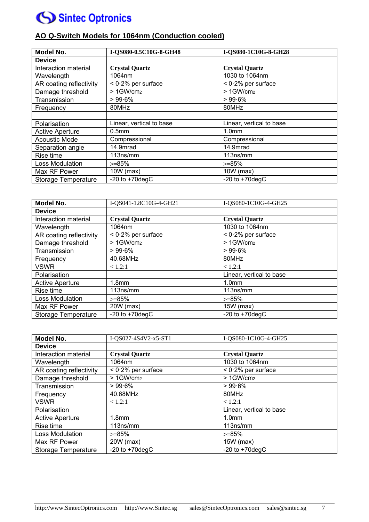### **AO Q-Switch Models for 1064nm (Conduction cooled)**

| <b>Model No.</b>        | I-QS080-0.5C10G-8-GH48   | I-QS080-1C10G-8-GH28     |
|-------------------------|--------------------------|--------------------------|
| <b>Device</b>           |                          |                          |
| Interaction material    | <b>Crystal Quartz</b>    | <b>Crystal Quartz</b>    |
| Wavelength              | 1064nm                   | 1030 to 1064nm           |
| AR coating reflectivity | $< 0.2\%$ per surface    | $< 0.2\%$ per surface    |
| Damage threshold        | > 1GW/cm2                | > 1GW/cm2                |
| Transmission            | >99.6%                   | >99.6%                   |
| Frequency               | 80MHz                    | 80MHz                    |
|                         |                          |                          |
| Polarisation            | Linear, vertical to base | Linear, vertical to base |
| <b>Active Aperture</b>  | 0.5 <sub>mm</sub>        | 1.0 <sub>mm</sub>        |
| <b>Acoustic Mode</b>    | Compressional            | Compressional            |
| Separation angle        | 14.9mrad                 | 14.9mrad                 |
| Rise time               | 113ns/mm                 | 113ns/mm                 |
| Loss Modulation         | $>= 85\%$                | $>=85%$                  |
| Max RF Power            | $10W$ (max)              | $10W$ (max)              |
| Storage Temperature     | -20 to $+70$ degC        | -20 to $+70$ degC        |

| <b>Model No.</b>           | I-QS041-1.8C10G-4-GH21 | I-QS080-1C10G-4-GH25     |
|----------------------------|------------------------|--------------------------|
| <b>Device</b>              |                        |                          |
| Interaction material       | <b>Crystal Quartz</b>  | <b>Crystal Quartz</b>    |
| Wavelength                 | 1064nm                 | 1030 to 1064nm           |
| AR coating reflectivity    | $< 0.2\%$ per surface  | $< 0.2\%$ per surface    |
| Damage threshold           | $>1$ GW/cm $2$         | > 1GW/cm2                |
| Transmission               | >99.6%                 | > 99.6%                  |
| Frequency                  | 40.68MHz               | 80MHz                    |
| <b>VSWR</b>                | < 1.2:1                | < 1.2:1                  |
| Polarisation               |                        | Linear, vertical to base |
| <b>Active Aperture</b>     | 1.8 <sub>mm</sub>      | 1.0 <sub>mm</sub>        |
| Rise time                  | 113ns/mm               | 113ns/mm                 |
| Loss Modulation            | $>= 85%$               | $>=85%$                  |
| Max RF Power               | 20W (max)              | $15W$ (max)              |
| <b>Storage Temperature</b> | -20 to $+70$ degC      | -20 to $+70$ degC        |

| <b>Model No.</b>        | I-QS027-4S4V2-x5-ST1  | I-QS080-1C10G-4-GH25     |
|-------------------------|-----------------------|--------------------------|
| <b>Device</b>           |                       |                          |
| Interaction material    | <b>Crystal Quartz</b> | <b>Crystal Quartz</b>    |
| Wavelength              | 1064nm                | 1030 to 1064nm           |
| AR coating reflectivity | $< 0.2\%$ per surface | $< 0.2\%$ per surface    |
| Damage threshold        | $>1$ GW/cm $2$        | > 1GW/cm2                |
| Transmission            | $>99.6\%$             | $>99.6\%$                |
| Frequency               | 40.68MHz              | 80MHz                    |
| <b>VSWR</b>             | < 1.2:1               | < 1.2:1                  |
| Polarisation            |                       | Linear, vertical to base |
| <b>Active Aperture</b>  | 1.8 <sub>mm</sub>     | 1.0 <sub>mm</sub>        |
| Rise time               | 113ns/mm              | 113ns/mm                 |
| Loss Modulation         | $>= 85\%$             | $>= 85\%$                |
| Max RF Power            | 20W (max)             | $15W$ (max)              |
| Storage Temperature     | -20 to $+70$ degC     | -20 to $+70$ degC        |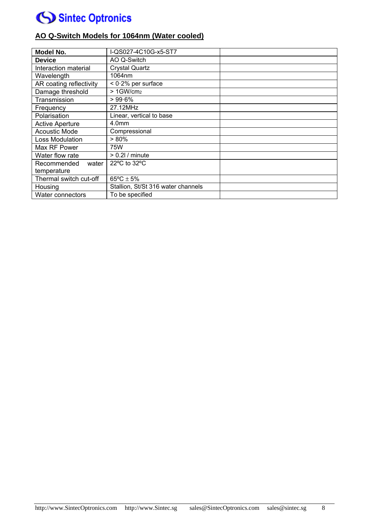

### **AO Q-Switch Models for 1064nm (Water cooled)**

| <b>Model No.</b>        | I-QS027-4C10G-x5-ST7               |
|-------------------------|------------------------------------|
| <b>Device</b>           | AO Q-Switch                        |
| Interaction material    | <b>Crystal Quartz</b>              |
| Wavelength              | 1064nm                             |
| AR coating reflectivity | $< 0.2\%$ per surface              |
| Damage threshold        | $>1$ GW/cm $2$                     |
| Transmission            | >99.6%                             |
| Frequency               | 27.12MHz                           |
| Polarisation            | Linear, vertical to base           |
| <b>Active Aperture</b>  | 4.0 <sub>mm</sub>                  |
| <b>Acoustic Mode</b>    | Compressional                      |
| Loss Modulation         | $> 80\%$                           |
| Max RF Power            | 75W                                |
| Water flow rate         | $> 0.21/$ minute                   |
| Recommended<br>water    | 22°C to 32°C                       |
| temperature             |                                    |
| Thermal switch cut-off  | $65^{\circ}$ C ± 5%                |
| Housing                 | Stallion, St/St 316 water channels |
| <b>Water connectors</b> | To be specified                    |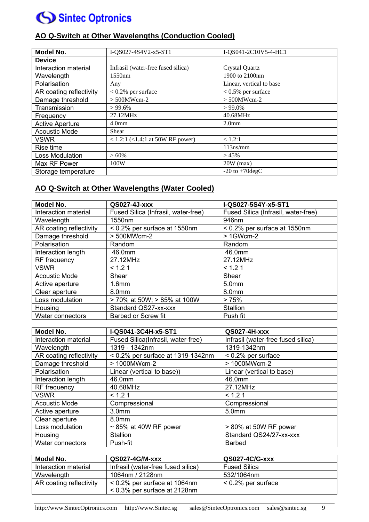

| Model No.               | I-QS027-4S4V2-x5-ST1                     | I-QS041-2C10V5-4-HC1     |
|-------------------------|------------------------------------------|--------------------------|
| <b>Device</b>           |                                          |                          |
| Interaction material    | Infrasil (water-free fused silica)       | <b>Crystal Quartz</b>    |
| Wavelength              | 1550nm                                   | 1900 to 2100nm           |
| Polarisation            | Any                                      | Linear, vertical to base |
| AR coating reflectivity | $< 0.2\%$ per surface                    | $< 0.5\%$ per surface    |
| Damage threshold        | $> 500$ MWcm-2                           | $> 500$ MWcm-2           |
| Transmission            | $> 99.6\%$                               | $>99.0\%$                |
| Frequency               | 27.12MHz                                 | 40.68MHz                 |
| <b>Active Aperture</b>  | 4.0 <sub>mm</sub>                        | 2.0 <sub>mm</sub>        |
| <b>Acoustic Mode</b>    | Shear                                    |                          |
| <b>VSWR</b>             | $< 1.2$ :1 ( $< 1.4$ :1 at 50W RF power) | < 1.2:1                  |
| Rise time               |                                          | $113$ ns/mm              |
| Loss Modulation         | $>60\%$                                  | >45%                     |
| Max RF Power            | 100W                                     | $20W$ (max)              |
| Storage temperature     |                                          | $-20$ to $+70$ degC      |

### **AO Q-Switch at Other Wavelengths (Water Cooled)**

| Model No.               | QS027-4J-xxx                        | I-QS027-5S4Y-x5-ST1                 |
|-------------------------|-------------------------------------|-------------------------------------|
| Interaction material    | Fused Silica (Infrasil, water-free) | Fused Silica (Infrasil, water-free) |
| Wavelength              | 1550nm                              | 946nm                               |
| AR coating reflectivity | $< 0.2\%$ per surface at 1550nm     | $< 0.2\%$ per surface at 1550nm     |
| Damage threshold        | > 500MWcm-2                         | > 1GWcm-2                           |
| Polarisation            | Random                              | Random                              |
| Interaction length      | 46.0mm                              | 46.0mm                              |
| RF frequency            | 27.12MHz                            | 27.12MHz                            |
| <b>VSWR</b>             | < 1.21                              | < 1.21                              |
| <b>Acoustic Mode</b>    | Shear                               | Shear                               |
| Active aperture         | 1.6 <sub>mm</sub>                   | 5.0mm                               |
| Clear aperture          | 8.0mm                               | 8.0mm                               |
| Loss modulation         | > 70% at 50W; > 85% at 100W         | >75%                                |
| Housing                 | Standard QS27-xx-xxx                | Stallion                            |
| Water connectors        | Barbed or Screw fit                 | Push fit                            |

| Model No.               | I-QS041-3C4H-x5-ST1                | QS027-4H-xxx                       |
|-------------------------|------------------------------------|------------------------------------|
| Interaction material    | Fused Silica(Infrasil, water-free) | Infrasil (water-free fused silica) |
| Wavelength              | 1319 - 1342nm                      | 1319-1342nm                        |
| AR coating reflectivity | < 0.2% per surface at 1319-1342nm  | < 0.2% per surface                 |
| Damage threshold        | > 1000MWcm-2                       | > 1000MWcm-2                       |
| Polarisation            | Linear (vertical to base))         | Linear (vertical to base)          |
| Interaction length      | 46.0mm                             | 46.0mm                             |
| RF frequency            | 40.68MHz                           | 27.12MHz                           |
| <b>VSWR</b>             | < 1.21                             | < 1.21                             |
| <b>Acoustic Mode</b>    | Compressional                      | Compressional                      |
| Active aperture         | 3.0 <sub>mm</sub>                  | 5.0mm                              |
| Clear aperture          | 8.0 <sub>mm</sub>                  |                                    |
| Loss modulation         | $\sim$ 85% at 40W RF power         | > 80% at 50W RF power              |
| Housing                 | Stallion                           | Standard QS24/27-xx-xxx            |
| Water connectors        | Push-fit                           | <b>Barbed</b>                      |

| Model No.                                                  | QS027-4G/M-xxx                     | QS027-4C/G-xxx        |  |
|------------------------------------------------------------|------------------------------------|-----------------------|--|
| Interaction material                                       | Infrasil (water-free fused silica) | <b>Fused Silica</b>   |  |
| Wavelength                                                 | 1064nm / 2128nm                    | 532/1064nm            |  |
| AR coating reflectivity<br>$< 0.2\%$ per surface at 1064nm |                                    | $< 0.2\%$ per surface |  |
|                                                            | $< 0.3\%$ per surface at 2128nm    |                       |  |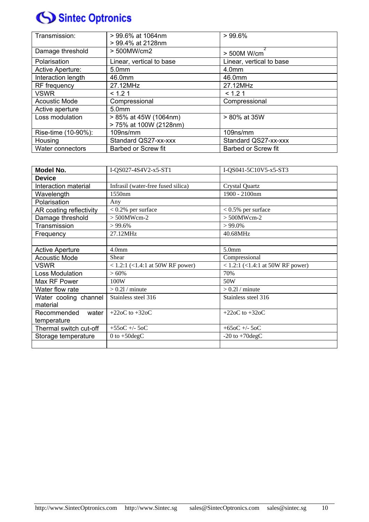| Transmission:           | > 99.6% at 1064nm<br>> 99.4% at 2128nm | >99.6%                     |
|-------------------------|----------------------------------------|----------------------------|
| Damage threshold        | > 500MW/cm2                            | > 500M W/cm                |
| Polarisation            | Linear, vertical to base               | Linear, vertical to base   |
| <b>Active Aperture:</b> | 5.0 <sub>mm</sub>                      | 4.0mm                      |
| Interaction length      | 46.0mm                                 | 46.0mm                     |
| RF frequency            | 27.12MHz                               | 27.12MHz                   |
| <b>VSWR</b>             | < 1.21                                 | < 1.21                     |
| <b>Acoustic Mode</b>    | Compressional                          | Compressional              |
| Active aperture         | 5.0 <sub>mm</sub>                      |                            |
| Loss modulation         | > 85% at 45W (1064nm)                  | > 80% at 35W               |
|                         | > 75% at 100W (2128nm)                 |                            |
| Rise-time (10-90%):     | 109ns/mm                               | 109ns/mm                   |
| Housing                 | Standard QS27-xx-xxx                   | Standard QS27-xx-xxx       |
| <b>Water connectors</b> | <b>Barbed or Screw fit</b>             | <b>Barbed or Screw fit</b> |

| Model No.               | I-QS027-4S4V2-x5-ST1               | I-QS041-5C10V5-x5-ST3            |  |  |
|-------------------------|------------------------------------|----------------------------------|--|--|
| <b>Device</b>           |                                    |                                  |  |  |
| Interaction material    | Infrasil (water-free fused silica) | <b>Crystal Quartz</b>            |  |  |
| Wavelength              | 1550 <sub>nm</sub>                 | 1900 - 2100nm                    |  |  |
| Polarisation            | Any                                |                                  |  |  |
| AR coating reflectivity | $< 0.2\%$ per surface              | $< 0.5\%$ per surface            |  |  |
| Damage threshold        | $> 500$ MWcm-2                     | $> 500$ MWcm-2                   |  |  |
| Transmission            | >99.6%                             | $>99.0\%$                        |  |  |
| Frequency               | 27.12MHz                           | 40.68MHz                         |  |  |
|                         |                                    |                                  |  |  |
| <b>Active Aperture</b>  | 4.0 <sub>mm</sub>                  | 5.0 <sub>mm</sub>                |  |  |
| <b>Acoustic Mode</b>    | Shear                              | Compressional                    |  |  |
| <b>VSWR</b>             | < 1.2:1 (<1.4:1 at 50W RF power)   | < 1.2:1 (<1.4:1 at 50W RF power) |  |  |
| <b>Loss Modulation</b>  | > 60%                              | 70%                              |  |  |
| Max RF Power            | 100W                               | 50W                              |  |  |
| Water flow rate         | $> 0.21/$ minute                   | $> 0.21/$ minute                 |  |  |
| Water cooling channel   | Stainless steel 316                | Stainless steel 316              |  |  |
| material                |                                    |                                  |  |  |
| Recommended<br>water    | +22oC to +32oC                     | $+220C$ to $+320C$               |  |  |
| temperature             |                                    |                                  |  |  |
| Thermal switch cut-off  | $+550C + -50C$                     | $+650C + -50C$                   |  |  |
| Storage temperature     | 0 to $+50 \text{deg}C$             | $-20$ to $+70$ degC              |  |  |
|                         |                                    |                                  |  |  |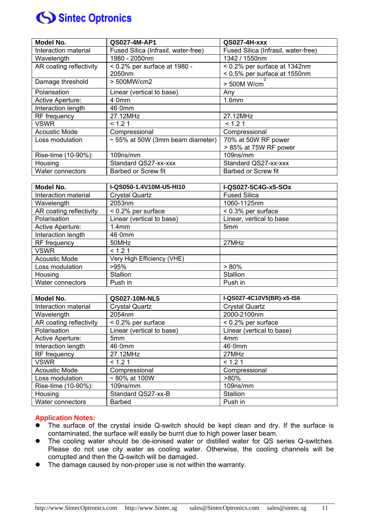

| Model No.               | QS027-4M-AP1                          | QS027-4H-xxx                        |
|-------------------------|---------------------------------------|-------------------------------------|
| Interaction material    | Fused Silica (Infrasil, water-free)   | Fused Silica (Infrasil, water-free) |
| Wavelength              | 1980 - 2050nm                         | 1342 / 1550nm                       |
| AR coating reflectivity | $< 0.2\%$ per surface at 1980 -       | < 0.2% per surface at 1342nm        |
|                         | 2050nm                                | < 0.5% per surface at 1550nm        |
| Damage threshold        | > 500MW/cm2                           | > 500M W/cm                         |
| Polarisation            | Linear (vertical to base)             | Any                                 |
| Active Aperture:        | $4.0$ mm                              | 1.6 <sub>mm</sub>                   |
| Interaction length      | 46·0mm                                |                                     |
| RF frequency            | 27.12MHz                              | 27.12MHz                            |
| <b>VSWR</b>             | < 1.21                                | < 1.21                              |
| <b>Acoustic Mode</b>    | Compressional                         | Compressional                       |
| Loss modulation         | $\sim$ 55% at 50W (3mm beam diameter) | 70% at 50W RF power                 |
|                         |                                       | > 85% at 75W RF power               |
| Rise-time (10-90%):     | 109ns/mm                              | 109ns/mm                            |
| Housing                 | Standard QS27-xx-xxx                  | Standard QS27-xx-xxx                |
| Water connectors        | <b>Barbed or Screw fit</b>            | <b>Barbed or Screw fit</b>          |

| Model No.               | I-QS050-1.4V10M-U5-HI10    | I-QS027-5C4G-x5-SOx      |
|-------------------------|----------------------------|--------------------------|
| Interaction material    | <b>Crystal Quartz</b>      | <b>Fused Silica</b>      |
| Wavelength              | 2053nm                     | 1060-1125nm              |
| AR coating reflectivity | $< 0.2\%$ per surface      | < 0.3% per surface       |
| Polarisation            | Linear (vertical to base)  | Linear, vertical to base |
| Active Aperture:        | 1.4 <sub>mm</sub>          | 5mm                      |
| Interaction length      | 46·0mm                     |                          |
| RF frequency            | 50MHz                      | 27MHz                    |
| <b>VSWR</b>             | < 1.21                     |                          |
| <b>Acoustic Mode</b>    | Very High Efficiency (VHE) |                          |
| Loss modulation         | >95%                       | $> 80\%$                 |
| Housing                 | Stallion                   | Stallion                 |
| Water connectors        | Push in                    | Push in                  |

| Model No.               | QS027-10M-NL5             | I-QS027-4C10V5(BR)-x5-IS6 |  |
|-------------------------|---------------------------|---------------------------|--|
| Interaction material    | <b>Crystal Quartz</b>     | <b>Crystal Quartz</b>     |  |
| Wavelength              | 2054nm                    | 2000-2100nm               |  |
| AR coating reflectivity | < 0.2% per surface        | < 0.2% per surface        |  |
| Polarisation            | Linear (vertical to base) | Linear (vertical to base) |  |
| Active Aperture:        | 5 <sub>mm</sub>           | 4 <sub>mm</sub>           |  |
| Interaction length      | 46·0mm                    | 46·0mm                    |  |
| RF frequency            | 27.12MHz                  | 27MHz                     |  |
| <b>VSWR</b>             | < 1.21                    | < 1.21                    |  |
| <b>Acoustic Mode</b>    | Compressional             | Compressional             |  |
| Loss modulation         | $~\sim$ 80% at 100W       | $>80\%$                   |  |
| Rise-time (10-90%):     | $109$ ns/mm               | $109$ ns/mm               |  |
| Housing                 | Standard QS27-xx-B        | <b>Stallion</b>           |  |
| Water connectors        | Barbed                    | Push in                   |  |

#### **Application Notes:**

- The surface of the crystal inside Q-switch should be kept clean and dry. If the surface is contaminated, the surface will easily be burnt due to high power laser beam.
- The cooling water should be de-ionised water or distilled water for QS series Q-switches. Please do not use city water as cooling water. Otherwise, the cooling channels will be corrupted and then the Q-switch will be damaged.
- The damage caused by non-proper use is not within the warranty.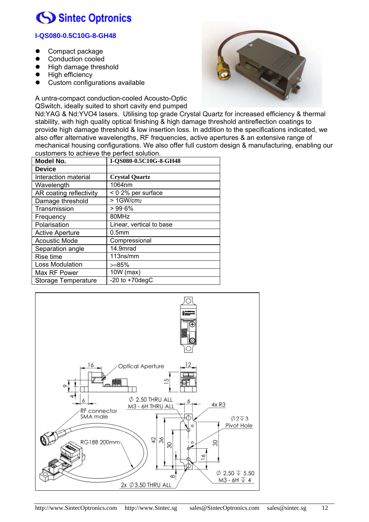### **I-QS080-0.5C10G-8-GH48**

- Compact package
- Conduction cooled
- **•** High damage threshold
- High efficiency
- Custom configurations available



A untra-compact conduction-cooled Acousto-Optic QSwitch, ideally suited to short cavity end pumped

Nd:YAG & Nd:YVO4 lasers. Utilising top grade Crystal Quartz for increased efficiency & thermal stability, with high quality optical finishing & high damage threshold antireflection coatings to provide high damage threshold & low insertion loss. In addition to the specifications indicated, we also offer alternative wavelengths, RF frequencies, active apertures & an extensive range of mechanical housing configurations. We also offer full custom design & manufacturing, enabling our customers to achieve the perfect solution.

| <b>Model No.</b>        | I-QS080-0.5C10G-8-GH48   |
|-------------------------|--------------------------|
|                         |                          |
| <b>Device</b>           |                          |
| Interaction material    | <b>Crystal Quartz</b>    |
| Wavelength              | 1064nm                   |
| AR coating reflectivity | $< 0.2\%$ per surface    |
| Damage threshold        | $>1$ GW/cm $2$           |
| Transmission            | $>99.6\%$                |
| Frequency               | 80MHz                    |
| Polarisation            | Linear, vertical to base |
| <b>Active Aperture</b>  | 0.5 <sub>mm</sub>        |
| <b>Acoustic Mode</b>    | Compressional            |
| Separation angle        | 14.9mrad                 |
| Rise time               | 113ns/mm                 |
| Loss Modulation         | $>=$ 85%                 |
| Max RF Power            | 10W (max)                |
| Storage Temperature     | -20 to $+70$ degC        |

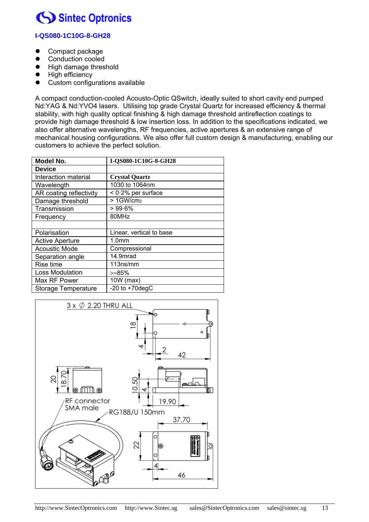### **I-QS080-1C10G-8-GH28**

- Compact package
- Conduction cooled
- **•** High damage threshold
- High efficiency
- Custom configurations available

A compact conduction-cooled Acousto-Optic QSwitch, ideally suited to short cavity end pumped Nd:YAG & Nd:YVO4 lasers. Utilising top grade Crystal Quartz for increased efficiency & thermal stability, with high quality optical finishing & high damage threshold antireflection coatings to provide high damage threshold & low insertion loss. In addition to the specifications indicated, we also offer alternative wavelengths, RF frequencies, active apertures & an extensive range of mechanical housing configurations. We also offer full custom design & manufacturing, enabling our customers to achieve the perfect solution.

| <b>Model No.</b>        | I-QS080-1C10G-8-GH28     |
|-------------------------|--------------------------|
| <b>Device</b>           |                          |
| Interaction material    | <b>Crystal Quartz</b>    |
| Wavelength              | 1030 to 1064nm           |
| AR coating reflectivity | $< 0.2\%$ per surface    |
| Damage threshold        | > 1GW/cm2                |
| Transmission            | $>99.6\%$                |
| Frequency               | 80MHz                    |
|                         |                          |
| Polarisation            | Linear, vertical to base |
| <b>Active Aperture</b>  | 1.0 <sub>mm</sub>        |
| <b>Acoustic Mode</b>    | Compressional            |
| Separation angle        | 14.9mrad                 |
| Rise time               | 113ns/mm                 |
| Loss Modulation         | >=85%                    |
| Max RF Power            | 10W (max)                |
| Storage Temperature     | -20 to $+70$ degC        |

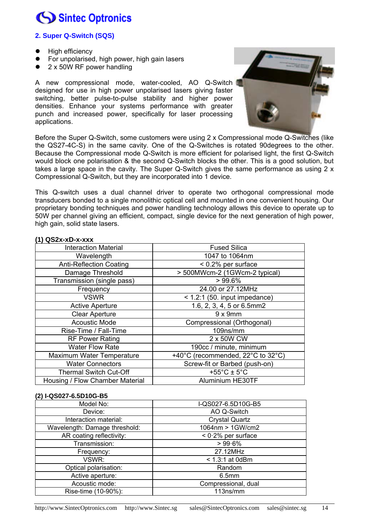### **2. Super Q-Switch (SQS)**

- High efficiency
- For unpolarised, high power, high gain lasers
- 2 x 50W RF power handling

A new compressional mode, water-cooled, AO Q-Switch designed for use in high power unpolarised lasers giving faster switching, better pulse-to-pulse stability and higher power densities. Enhance your systems performance with greater punch and increased power, specifically for laser processing applications.



Before the Super Q-Switch, some customers were using 2 x Compressional mode Q-Switches (like the QS27-4C-S) in the same cavity. One of the Q-Switches is rotated 90degrees to the other. Because the Compressional mode Q-Switch is more efficient for polarised light, the first Q-Switch would block one polarisation & the second Q-Switch blocks the other. This is a good solution, but takes a large space in the cavity. The Super Q-Switch gives the same performance as using 2 x Compressional Q-Switch, but they are incorporated into 1 device.

This Q-switch uses a dual channel driver to operate two orthogonal compressional mode transducers bonded to a single monolithic optical cell and mounted in one convenient housing. Our proprietary bonding techniques and power handling technology allows this device to operate up to 50W per channel giving an efficient, compact, single device for the next generation of high power, high gain, solid state lasers.

| $\sim$ $\sim$ $\sim$ $\sim$ $\sim$ $\sim$ |                                   |  |
|-------------------------------------------|-----------------------------------|--|
| <b>Interaction Material</b>               | <b>Fused Silica</b>               |  |
| Wavelength                                | 1047 to 1064nm                    |  |
| <b>Anti-Reflection Coating</b>            | $< 0.2\%$ per surface             |  |
| Damage Threshold                          | > 500MWcm-2 (1GWcm-2 typical)     |  |
| Transmission (single pass)                | $>99.6\%$                         |  |
| Frequency                                 | 24.00 or 27.12MHz                 |  |
| <b>VSWR</b>                               | $<$ 1.2:1 (50. input impedance)   |  |
| <b>Active Aperture</b>                    | 1.6, 2, 3, 4, 5 or 6.5mm2         |  |
| <b>Clear Aperture</b>                     | $9 \times 9$ mm                   |  |
| <b>Acoustic Mode</b>                      | Compressional (Orthogonal)        |  |
| Rise-Time / Fall-Time                     | 109ns/mm                          |  |
| <b>RF Power Rating</b>                    | 2 x 50W CW                        |  |
| <b>Water Flow Rate</b>                    | 190cc / minute, minimum           |  |
| Maximum Water Temperature                 | +40°C (recommended, 22°C to 32°C) |  |
| <b>Water Connectors</b>                   | Screw-fit or Barbed (push-on)     |  |
| <b>Thermal Switch Cut-Off</b>             | +55 $^{\circ}$ C ± 5 $^{\circ}$ C |  |
| Housing / Flow Chamber Material           | Aluminium HE30TF                  |  |

#### **(1) QS2x-xD-x-xxx**

#### **(2) I-QS027-6.5D10G-B5**

| Model No:                     | I-QS027-6.5D10G-B5    |  |
|-------------------------------|-----------------------|--|
| Device:                       | AO Q-Switch           |  |
| Interaction material:         | <b>Crystal Quartz</b> |  |
| Wavelength: Damage threshold: | 1064nm > 1GW/cm2      |  |
| AR coating reflectivity:      | $< 0.2\%$ per surface |  |
| Transmission:                 | $> 99.6\%$            |  |
| Frequency:                    | 27.12MHz              |  |
| VSWR:                         | $<$ 1.3:1 at 0dBm     |  |
| Optical polarisation:         | Random                |  |
| Active aperture:              | 6.5 <sub>mm</sub>     |  |
| Acoustic mode:                | Compressional, dual   |  |
| Rise-time (10-90%):           | 113ns/mm              |  |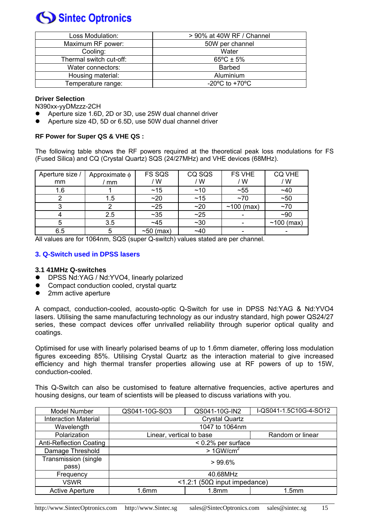| Loss Modulation:        | > 90% at 40W RF / Channel                            |  |
|-------------------------|------------------------------------------------------|--|
| Maximum RF power:       | 50W per channel                                      |  |
| Cooling:                | Water                                                |  |
| Thermal switch cut-off: | $65^{\circ}$ C ± 5%                                  |  |
| Water connectors:       | <b>Barbed</b>                                        |  |
| Housing material:       | Aluminium                                            |  |
| Temperature range:      | -20 $\mathrm{^{\circ}C}$ to +70 $\mathrm{^{\circ}C}$ |  |

#### **Driver Selection**

N390xx-yyDMzzz-2CH

- Aperture size 1.6D, 2D or 3D, use 25W dual channel driver
- Aperture size 4D, 5D or 6.5D, use 50W dual channel driver

#### **RF Power for Super QS & VHE QS :**

The following table shows the RF powers required at the theoretical peak loss modulations for FS (Fused Silica) and CQ (Crystal Quartz) SQS (24/27MHz) and VHE devices (68MHz).

| Aperture size /<br>mm | Approximate $\phi$<br>mm | FS SQS<br>/W    | CQ SQS<br>/ W | <b>FS VHE</b><br>/ W | <b>CQ VHE</b><br>/W |
|-----------------------|--------------------------|-----------------|---------------|----------------------|---------------------|
| 1.6                   |                          | ~15             | ~10           | ~55                  | $~1$ $~1$           |
|                       | 1.5                      | ~20             | ~15           | $~1$ ~70             | ~50                 |
|                       | ⌒                        | ~25             | ~20           | $~100$ (max)         | $~1$ $~70$          |
|                       | 2.5                      | $~1$ - 35       | ~25           |                      | $-90$               |
| 5                     | 3.5                      | ~145            | $~1$ $~30$    |                      | $~100$ (max)        |
| 6.5                   | 5                        | $\sim$ 50 (max) | $-40$         |                      |                     |

All values are for 1064nm, SQS (super Q-switch) values stated are per channel.

#### **3. Q-Switch used in DPSS lasers**

#### **3.1 41MHz Q-switches**

- DPSS Nd:YAG / Nd:YVO4, linearly polarized
- Compact conduction cooled, crystal quartz
- 2mm active aperture

A compact, conduction-cooled, acousto-optic Q-Switch for use in DPSS Nd:YAG & Nd:YVO4 lasers. Utilising the same manufacturing technology as our industry standard, high power QS24/27 series, these compact devices offer unrivalled reliability through superior optical quality and coatings.

Optimised for use with linearly polarised beams of up to 1.6mm diameter, offering loss modulation figures exceeding 85%. Utilising Crystal Quartz as the interaction material to give increased efficiency and high thermal transfer properties allowing use at RF powers of up to 15W, conduction-cooled.

This Q-Switch can also be customised to feature alternative frequencies, active apertures and housing designs, our team of scientists will be pleased to discuss variations with you.

| Model Number                   | QS041-10G-SO3                                | QS041-10G-IN2     | I-QS041-1.5C10G-4-SO12 |
|--------------------------------|----------------------------------------------|-------------------|------------------------|
| <b>Interaction Material</b>    | <b>Crystal Quartz</b>                        |                   |                        |
| Wavelength                     | 1047 to 1064nm                               |                   |                        |
| Polarization                   | Linear, vertical to base<br>Random or linear |                   |                        |
| <b>Anti-Reflection Coating</b> | < 0.2% per surface                           |                   |                        |
| Damage Threshold               | $>1$ GW/cm <sup>2</sup>                      |                   |                        |
| <b>Transmission (single)</b>   | $>99.6\%$                                    |                   |                        |
| pass)                          |                                              |                   |                        |
| Frequency                      | 40.68MHz                                     |                   |                        |
| <b>VSWR</b>                    | <1.2:1 (50Ω input impedance)                 |                   |                        |
| <b>Active Aperture</b>         | 1.6 <sub>mm</sub>                            | 1.8 <sub>mm</sub> | 1.5 <sub>mm</sub>      |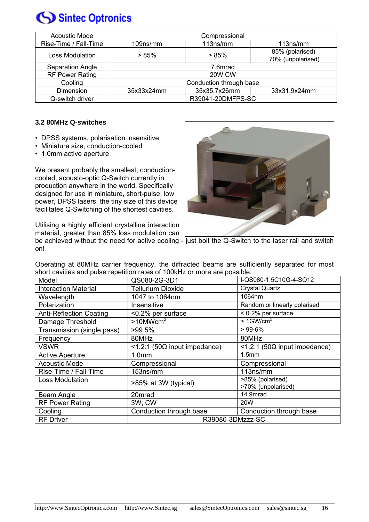

| Acoustic Mode          | Compressional           |              |                   |
|------------------------|-------------------------|--------------|-------------------|
| Rise-Time / Fall-Time  | $109$ ns/mm             | 113ns/mm     | 113ns/mm          |
| <b>Loss Modulation</b> | >85%                    | >85%         | 85% (polarised)   |
|                        |                         |              | 70% (unpolarised) |
| Separation Angle       | 7.6mrad                 |              |                   |
| <b>RF Power Rating</b> | 20W CW                  |              |                   |
| Cooling                | Conduction through base |              |                   |
| Dimension              | 35x33x24mm              | 35x35.7x26mm | 33x31.9x24mm      |
| Q-switch driver        | R39041-20DMFPS-SC       |              |                   |

#### **3.2 80MHz Q-switches**

- DPSS systems, polarisation insensitive
- Miniature size, conduction-cooled
- 1.0mm active aperture

We present probably the smallest, conductioncooled, acousto-optic Q-Switch currently in production anywhere in the world. Specifically designed for use in miniature, short-pulse, low power, DPSS lasers, the tiny size of this device facilitates Q-Switching of the shortest cavities.

Utilising a highly efficient crystalline interaction material, greater than 85% loss modulation can



be achieved without the need for active cooling - just bolt the Q-Switch to the laser rail and switch on!

Operating at 80MHz carrier frequency, the diffracted beams are sufficiently separated for most short cavities and pulse repetition rates of 100kHz or more are possible.

| Model                          | QS080-2G-3D1                                       | I-QS080-1.5C10G-4-SO12                 |  |
|--------------------------------|----------------------------------------------------|----------------------------------------|--|
| <b>Interaction Material</b>    | <b>Tellurium Dioxide</b>                           | <b>Crystal Quartz</b>                  |  |
| Wavelength                     | 1047 to 1064nm                                     | 1064nm                                 |  |
| Polarization                   | Insensitive                                        | Random or linearly polarised           |  |
| <b>Anti-Reflection Coating</b> | $< 0.2\%$ per surface<br><0.2% per surface         |                                        |  |
| Damage Threshold               | $>10$ MWcm <sup>2</sup>                            | $>1$ GW/cm <sup>2</sup>                |  |
| Transmission (single pass)     | $>99.5\%$                                          | $> 99.6\%$                             |  |
| Frequency                      | 80MHz                                              | 80MHz                                  |  |
| <b>VSWR</b>                    | <1.2:1 (50Ω input impedance)                       | <1.2:1 (50Ω input impedance)           |  |
| <b>Active Aperture</b>         | 1.0 <sub>mm</sub>                                  | 1.5mm                                  |  |
| <b>Acoustic Mode</b>           | Compressional                                      | Compressional                          |  |
| Rise-Time / Fall-Time          | 153ns/mm                                           | 113ns/mm                               |  |
| <b>Loss Modulation</b>         | >85% at 3W (typical)                               | >85% (polarised)<br>>70% (unpolarised) |  |
| Beam Angle                     | 20mrad                                             | 14.9mrad                               |  |
| <b>RF Power Rating</b>         | 3W, CW                                             | <b>20W</b>                             |  |
|                                |                                                    |                                        |  |
| Cooling                        | Conduction through base<br>Conduction through base |                                        |  |
| <b>RF</b> Driver               | R39080-3DMzzz-SC                                   |                                        |  |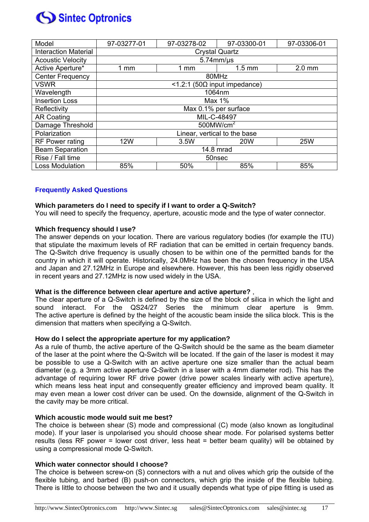

| Model                       | 97-03277-01                  | 97-03278-02    | 97-03300-01      | 97-03306-01 |
|-----------------------------|------------------------------|----------------|------------------|-------------|
| <b>Interaction Material</b> | <b>Crystal Quartz</b>        |                |                  |             |
| <b>Acoustic Velocity</b>    | $5.74$ mm/ $\mu$ s           |                |                  |             |
| Active Aperture*            | $1$ mm                       | $1 \text{ mm}$ | $1.5 \text{ mm}$ | $2.0$ mm    |
| <b>Center Frequency</b>     | 80MHz                        |                |                  |             |
| <b>VSWR</b>                 | <1.2:1 (50Ω input impedance) |                |                  |             |
| Wavelength                  | 1064nm                       |                |                  |             |
| <b>Insertion Loss</b>       | Max 1%                       |                |                  |             |
| Reflectivity                | Max 0.1% per surface         |                |                  |             |
| <b>AR Coating</b>           | MIL-C-48497                  |                |                  |             |
| Damage Threshold            | $500$ MW/cm <sup>2</sup>     |                |                  |             |
| Polarization                | Linear, vertical to the base |                |                  |             |
| <b>RF Power rating</b>      | <b>12W</b>                   | 3.5W           | <b>20W</b>       | <b>25W</b>  |
| <b>Beam Separation</b>      | 14.8 mrad                    |                |                  |             |
| Rise / Fall time            | 50nsec                       |                |                  |             |
| <b>Loss Modulation</b>      | 85%                          | 50%            | 85%              | 85%         |

#### **Frequently Asked Questions**

#### **Which parameters do I need to specify if I want to order a Q-Switch?**

You will need to specify the frequency, aperture, acoustic mode and the type of water connector.

#### **Which frequency should I use?**

The answer depends on your location. There are various regulatory bodies (for example the ITU) that stipulate the maximum levels of RF radiation that can be emitted in certain frequency bands. The Q-Switch drive frequency is usually chosen to be within one of the permitted bands for the country in which it will operate. Historically, 24.0MHz has been the chosen frequency in the USA and Japan and 27.12MHz in Europe and elsewhere. However, this has been less rigidly observed in recent years and 27.12MHz is now used widely in the USA.

#### **What is the difference between clear aperture and active aperture?** ,

The clear aperture of a Q-Switch is defined by the size of the block of silica in which the light and sound interact. For the QS24/27 Series the minimum clear aperture is 9mm. The active aperture is defined by the height of the acoustic beam inside the silica block. This is the dimension that matters when specifying a Q-Switch.

#### **How do I select the appropriate aperture for my application?**

As a rule of thumb, the active aperture of the Q-Switch should be the same as the beam diameter of the laser at the point where the Q-Switch will be located. If the gain of the laser is modest it may be possible to use a Q-Switch with an active aperture one size smaller than the actual beam diameter (e.g. a 3mm active aperture Q-Switch in a laser with a 4mm diameter rod). This has the advantage of requiring lower RF drive power (drive power scales linearly with active aperture), which means less heat input and consequently greater efficiency and improved beam quality. It may even mean a lower cost driver can be used. On the downside, alignment of the Q-Switch in the cavity may be more critical.

#### **Which acoustic mode would suit me best?**

The choice is between shear (S) mode and compressional (C) mode (also known as longitudinal mode). If your laser is unpolarised you should choose shear mode. For polarised systems better results (less RF power = lower cost driver, less heat = better beam quality) will be obtained by using a compressional mode Q-Switch.

#### **Which water connector should I choose?**

The choice is between screw-on (S) connectors with a nut and olives which grip the outside of the flexible tubing, and barbed (B) push-on connectors, which grip the inside of the flexible tubing. There is little to choose between the two and it usually depends what type of pipe fitting is used as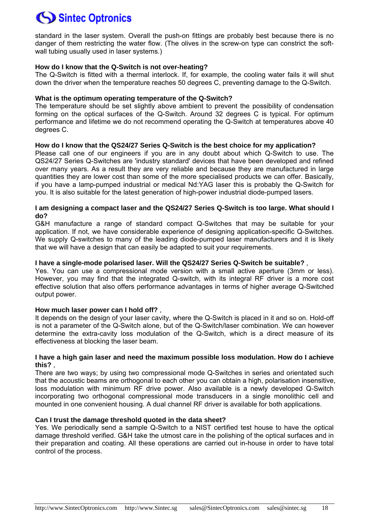standard in the laser system. Overall the push-on fittings are probably best because there is no danger of them restricting the water flow. (The olives in the screw-on type can constrict the softwall tubing usually used in laser systems.)

#### **How do I know that the Q-Switch is not over-heating?**

The Q-Switch is fitted with a thermal interlock. If, for example, the cooling water fails it will shut down the driver when the temperature reaches 50 degrees C, preventing damage to the Q-Switch.

#### **What is the optimum operating temperature of the Q-Switch?**

The temperature should be set slightly above ambient to prevent the possibility of condensation forming on the optical surfaces of the Q-Switch. Around 32 degrees C is typical. For optimum performance and lifetime we do not recommend operating the Q-Switch at temperatures above 40 degrees C.

#### **How do I know that the QS24/27 Series Q-Switch is the best choice for my application?**

Please call one of our engineers if you are in any doubt about which Q-Switch to use. The QS24/27 Series Q-Switches are 'industry standard' devices that have been developed and refined over many years. As a result they are very reliable and because they are manufactured in large quantities they are lower cost than some of the more specialised products we can offer. Basically, if you have a lamp-pumped industrial or medical Nd:YAG laser this is probably the Q-Switch for you. It is also suitable for the latest generation of high-power industrial diode-pumped lasers.

#### **I am designing a compact laser and the QS24/27 Series Q-Switch is too large. What should I do?**

G&H manufacture a range of standard compact Q-Switches that may be suitable for your application. If not, we have considerable experience of designing application-specific Q-Switches. We supply Q-switches to many of the leading diode-pumped laser manufacturers and it is likely that we will have a design that can easily be adapted to suit your requirements.

#### **I have a single-mode polarised laser. Will the QS24/27 Series Q-Switch be suitable?** ,

Yes. You can use a compressional mode version with a small active aperture (3mm or less). However, you may find that the integrated Q-switch, with its integral RF driver is a more cost effective solution that also offers performance advantages in terms of higher average Q-Switched output power.

#### **How much laser power can I hold off?** ,

It depends on the design of your laser cavity, where the Q-Switch is placed in it and so on. Hold-off is not a parameter of the Q-Switch alone, but of the Q-Switch/laser combination. We can however determine the extra-cavity loss modulation of the Q-Switch, which is a direct measure of its effectiveness at blocking the laser beam.

#### **I have a high gain laser and need the maximum possible loss modulation. How do I achieve this?** ,

There are two ways; by using two compressional mode Q-Switches in series and orientated such that the acoustic beams are orthogonal to each other you can obtain a high, polarisation insensitive, loss modulation with minimum RF drive power. Also available is a newly developed Q-Switch incorporating two orthogonal compressional mode transducers in a single monolithic cell and mounted in one convenient housing. A dual channel RF driver is available for both applications.

#### **Can I trust the damage threshold quoted in the data sheet?**

Yes. We periodically send a sample Q-Switch to a NIST certified test house to have the optical damage threshold verified. G&H take the utmost care in the polishing of the optical surfaces and in their preparation and coating. All these operations are carried out in-house in order to have total control of the process.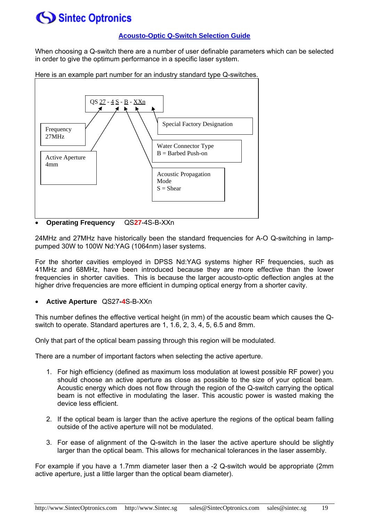#### **Acousto-Optic Q-Switch Selection Guide**

When choosing a Q-switch there are a number of user definable parameters which can be selected in order to give the optimum performance in a specific laser system.





24MHz and 27MHz have historically been the standard frequencies for A-O Q-switching in lamppumped 30W to 100W Nd:YAG (1064nm) laser systems.

For the shorter cavities employed in DPSS Nd:YAG systems higher RF frequencies, such as 41MHz and 68MHz, have been introduced because they are more effective than the lower frequencies in shorter cavities. This is because the larger acousto-optic deflection angles at the higher drive frequencies are more efficient in dumping optical energy from a shorter cavity.

• **Active Aperture** QS27**-4**S-B-XXn

This number defines the effective vertical height (in mm) of the acoustic beam which causes the Qswitch to operate. Standard apertures are 1, 1.6, 2, 3, 4, 5, 6.5 and 8mm.

Only that part of the optical beam passing through this region will be modulated.

There are a number of important factors when selecting the active aperture.

- 1. For high efficiency (defined as maximum loss modulation at lowest possible RF power) you should choose an active aperture as close as possible to the size of your optical beam. Acoustic energy which does not flow through the region of the Q-switch carrying the optical beam is not effective in modulating the laser. This acoustic power is wasted making the device less efficient.
- 2. If the optical beam is larger than the active aperture the regions of the optical beam falling outside of the active aperture will not be modulated.
- 3. For ease of alignment of the Q-switch in the laser the active aperture should be slightly larger than the optical beam. This allows for mechanical tolerances in the laser assembly.

For example if you have a 1.7mm diameter laser then a -2 Q-switch would be appropriate (2mm active aperture, just a little larger than the optical beam diameter).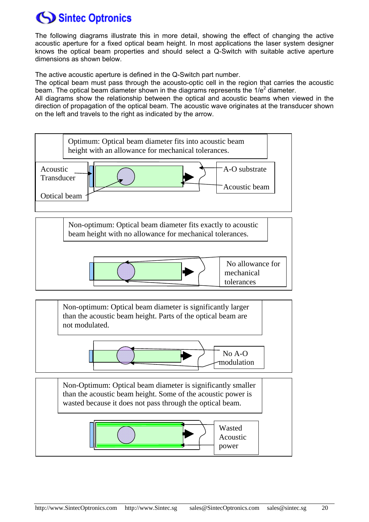The following diagrams illustrate this in more detail, showing the effect of changing the active acoustic aperture for a fixed optical beam height. In most applications the laser system designer knows the optical beam properties and should select a Q-Switch with suitable active aperture dimensions as shown below.

The active acoustic aperture is defined in the Q-Switch part number.

The optical beam must pass through the acousto-optic cell in the region that carries the acoustic beam. The optical beam diameter shown in the diagrams represents the  $1/e^2$  diameter.

All diagrams show the relationship between the optical and acoustic beams when viewed in the direction of propagation of the optical beam. The acoustic wave originates at the transducer shown on the left and travels to the right as indicated by the arrow.

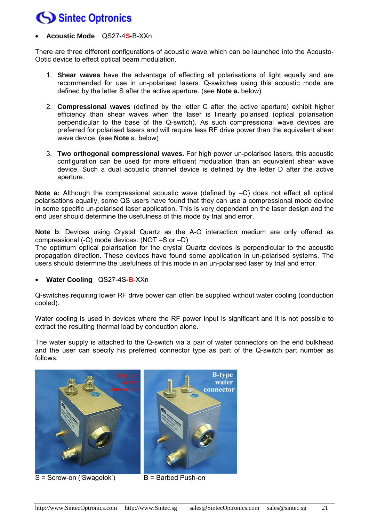### • **Acoustic Mode** QS27**-**4**S**-B-XXn

There are three different configurations of acoustic wave which can be launched into the Acousto-Optic device to effect optical beam modulation.

- 1. **Shear waves** have the advantage of effecting all polarisations of light equally and are recommended for use in un-polarised lasers. Q-switches using this acoustic mode are defined by the letter S after the active aperture. (see **Note a.** below)
- 2. **Compressional waves** (defined by the letter C after the active aperture) exhibit higher efficiency than shear waves when the laser is linearly polarised (optical polarisation perpendicular to the base of the Q-switch). As such compressional wave devices are preferred for polarised lasers and will require less RF drive power than the equivalent shear wave device. (see **Note** a. below)
- 3. **Two orthogonal compressional waves.** For high power un-polarised lasers, this acoustic configuration can be used for more efficient modulation than an equivalent shear wave device. Such a dual acoustic channel device is defined by the letter D after the active aperture.

**Note a:** Although the compressional acoustic wave (defined by –C) does not effect all optical polarisations equally, some QS users have found that they can use a compressional mode device in some specific un-polarised laser application. This is very dependant on the laser design and the end user should determine the usefulness of this mode by trial and error.

**Note b**: Devices using Crystal Quartz as the A-O interaction medium are only offered as compressional (-C) mode devices. (NOT –S or –D) The optimum optical polarisation for the crystal Quartz devices is perpendicular to the acoustic propagation direction. These devices have found some application in un-polarised systems. The users should determine the usefulness of this mode in an un-polarised laser by trial and error.

• **Water Cooling** QS27**-**4S**-B**-XXn

Q-switches requiring lower RF drive power can often be supplied without water cooling (conduction cooled).

Water cooling is used in devices where the RF power input is significant and it is not possible to extract the resulting thermal load by conduction alone.

The water supply is attached to the Q-switch via a pair of water connectors on the end bulkhead and the user can specify his preferred connector type as part of the Q-switch part number as follows:



 $S =$  Screw-on ('Swagelok')  $B =$  Barbed Push-on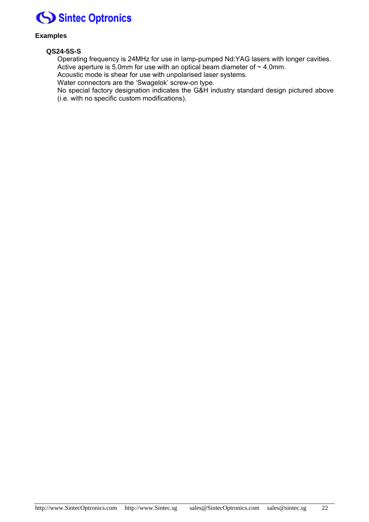

#### **Examples**

#### **QS24-5S-S**

Operating frequency is 24MHz for use in lamp-pumped Nd:YAG lasers with longer cavities. Active aperture is 5.0mm for use with an optical beam diameter of  $\sim$  4.0mm.

Acoustic mode is shear for use with unpolarised laser systems.

Water connectors are the 'Swagelok' screw-on type.

No special factory designation indicates the G&H industry standard design pictured above (i.e. with no specific custom modifications).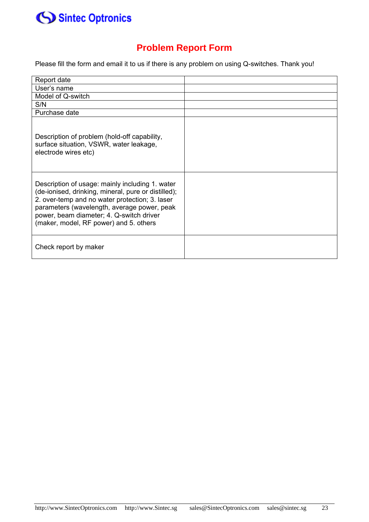

### **Problem Report Form**

Please fill the form and email it to us if there is any problem on using Q-switches. Thank you!

| Report date                                                                                                                                                                                                                                                                                   |  |
|-----------------------------------------------------------------------------------------------------------------------------------------------------------------------------------------------------------------------------------------------------------------------------------------------|--|
| User's name                                                                                                                                                                                                                                                                                   |  |
| Model of Q-switch                                                                                                                                                                                                                                                                             |  |
| S/N                                                                                                                                                                                                                                                                                           |  |
| Purchase date                                                                                                                                                                                                                                                                                 |  |
| Description of problem (hold-off capability,<br>surface situation, VSWR, water leakage,<br>electrode wires etc)                                                                                                                                                                               |  |
| Description of usage: mainly including 1. water<br>(de-ionised, drinking, mineral, pure or distilled);<br>2. over-temp and no water protection; 3. laser<br>parameters (wavelength, average power, peak<br>power, beam diameter; 4. Q-switch driver<br>(maker, model, RF power) and 5. others |  |
| Check report by maker                                                                                                                                                                                                                                                                         |  |